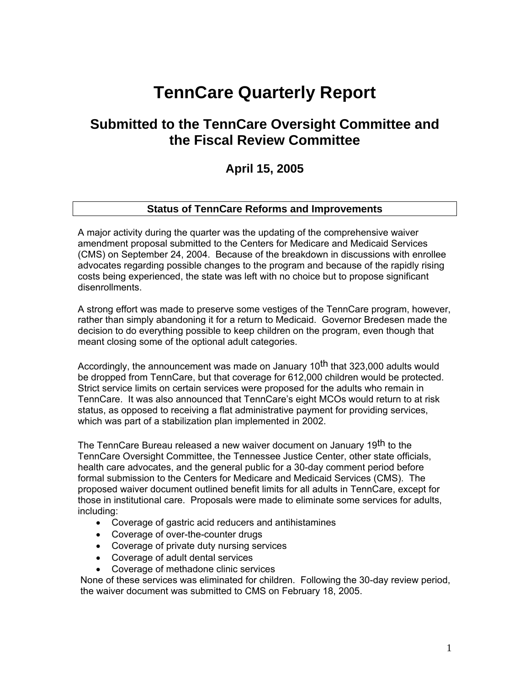# **TennCare Quarterly Report**

## **Submitted to the TennCare Oversight Committee and the Fiscal Review Committee**

### **April 15, 2005**

#### **Status of TennCare Reforms and Improvements**

A major activity during the quarter was the updating of the comprehensive waiver amendment proposal submitted to the Centers for Medicare and Medicaid Services (CMS) on September 24, 2004. Because of the breakdown in discussions with enrollee advocates regarding possible changes to the program and because of the rapidly rising costs being experienced, the state was left with no choice but to propose significant disenrollments.

A strong effort was made to preserve some vestiges of the TennCare program, however, rather than simply abandoning it for a return to Medicaid. Governor Bredesen made the decision to do everything possible to keep children on the program, even though that meant closing some of the optional adult categories.

Accordingly, the announcement was made on January 10<sup>th</sup> that 323,000 adults would be dropped from TennCare, but that coverage for 612,000 children would be protected. Strict service limits on certain services were proposed for the adults who remain in TennCare. It was also announced that TennCare's eight MCOs would return to at risk status, as opposed to receiving a flat administrative payment for providing services, which was part of a stabilization plan implemented in 2002.

The TennCare Bureau released a new waiver document on January 19<sup>th</sup> to the TennCare Oversight Committee, the Tennessee Justice Center, other state officials, health care advocates, and the general public for a 30-day comment period before formal submission to the Centers for Medicare and Medicaid Services (CMS). The proposed waiver document outlined benefit limits for all adults in TennCare, except for those in institutional care. Proposals were made to eliminate some services for adults, including:

- Coverage of gastric acid reducers and antihistamines
- Coverage of over-the-counter drugs
- Coverage of private duty nursing services
- Coverage of adult dental services
- Coverage of methadone clinic services

None of these services was eliminated for children. Following the 30-day review period, the waiver document was submitted to CMS on February 18, 2005.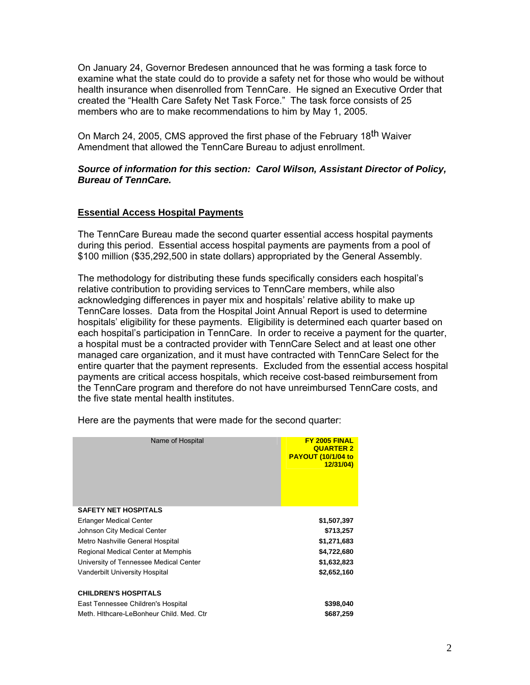On January 24, Governor Bredesen announced that he was forming a task force to examine what the state could do to provide a safety net for those who would be without health insurance when disenrolled from TennCare. He signed an Executive Order that created the "Health Care Safety Net Task Force." The task force consists of 25 members who are to make recommendations to him by May 1, 2005.

On March 24, 2005, CMS approved the first phase of the February 18<sup>th</sup> Waiver Amendment that allowed the TennCare Bureau to adjust enrollment.

#### *Source of information for this section: Carol Wilson, Assistant Director of Policy, Bureau of TennCare.*

#### **Essential Access Hospital Payments**

 The TennCare Bureau made the second quarter essential access hospital payments during this period. Essential access hospital payments are payments from a pool of \$100 million (\$35,292,500 in state dollars) appropriated by the General Assembly.

The methodology for distributing these funds specifically considers each hospital's relative contribution to providing services to TennCare members, while also acknowledging differences in payer mix and hospitals' relative ability to make up TennCare losses. Data from the Hospital Joint Annual Report is used to determine hospitals' eligibility for these payments. Eligibility is determined each quarter based on each hospital's participation in TennCare. In order to receive a payment for the quarter, a hospital must be a contracted provider with TennCare Select and at least one other managed care organization, and it must have contracted with TennCare Select for the entire quarter that the payment represents. Excluded from the essential access hospital payments are critical access hospitals, which receive cost-based reimbursement from the TennCare program and therefore do not have unreimbursed TennCare costs, and the five state mental health institutes.

| Name of Hospital                         | FY 2005 FINAL<br><b>QUARTER 2</b><br><b>PAYOUT (10/1/04 to</b><br>12/31/04) |
|------------------------------------------|-----------------------------------------------------------------------------|
| <b>SAFETY NET HOSPITALS</b>              |                                                                             |
| Erlanger Medical Center                  | \$1,507,397                                                                 |
| Johnson City Medical Center              | \$713,257                                                                   |
| Metro Nashville General Hospital         | \$1,271,683                                                                 |
| Regional Medical Center at Memphis       | \$4,722,680                                                                 |
| University of Tennessee Medical Center   | \$1,632,823                                                                 |
| Vanderbilt University Hospital           | \$2,652,160                                                                 |
| <b>CHILDREN'S HOSPITALS</b>              |                                                                             |
| East Tennessee Children's Hospital       | \$398,040                                                                   |
| Meth, Hithcare-LeBonheur Child, Med. Ctr | \$687,259                                                                   |
|                                          |                                                                             |

Here are the payments that were made for the second quarter: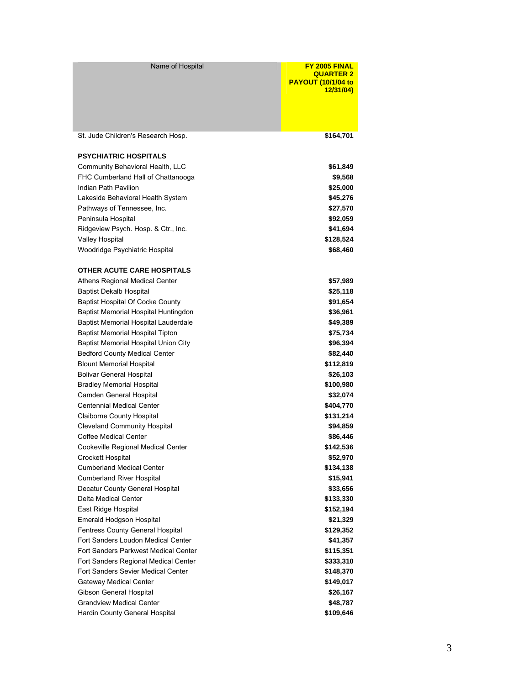| Name of Hospital                                                                | FY 2005 FINAL<br><b>QUARTER 2</b><br><b>PAYOUT (10/1/04 to</b><br><u>12/31/04)</u> |
|---------------------------------------------------------------------------------|------------------------------------------------------------------------------------|
| St. Jude Children's Research Hosp.                                              | \$164,701                                                                          |
| <b>PSYCHIATRIC HOSPITALS</b>                                                    |                                                                                    |
| Community Behavioral Health, LLC                                                | \$61,849                                                                           |
| FHC Cumberland Hall of Chattanooga                                              | \$9,568                                                                            |
| Indian Path Pavilion                                                            | \$25,000                                                                           |
| Lakeside Behavioral Health System                                               | \$45,276                                                                           |
| Pathways of Tennessee, Inc.                                                     | \$27,570                                                                           |
| Peninsula Hospital                                                              | \$92,059                                                                           |
| Ridgeview Psych. Hosp. & Ctr., Inc.                                             | \$41,694                                                                           |
| Valley Hospital                                                                 | \$128,524                                                                          |
| Woodridge Psychiatric Hospital                                                  | \$68,460                                                                           |
|                                                                                 |                                                                                    |
| <b>OTHER ACUTE CARE HOSPITALS</b>                                               |                                                                                    |
| Athens Regional Medical Center                                                  | \$57,989                                                                           |
| <b>Baptist Dekalb Hospital</b>                                                  | \$25,118<br>\$91,654                                                               |
| <b>Baptist Hospital Of Cocke County</b><br>Baptist Memorial Hospital Huntingdon | \$36,961                                                                           |
| Baptist Memorial Hospital Lauderdale                                            | \$49,389                                                                           |
| Baptist Memorial Hospital Tipton                                                | \$75,734                                                                           |
| Baptist Memorial Hospital Union City                                            | \$96,394                                                                           |
| <b>Bedford County Medical Center</b>                                            | \$82,440                                                                           |
| <b>Blount Memorial Hospital</b>                                                 | \$112,819                                                                          |
| <b>Bolivar General Hospital</b>                                                 | \$26,103                                                                           |
| <b>Bradley Memorial Hospital</b>                                                | \$100,980                                                                          |
| Camden General Hospital                                                         | \$32,074                                                                           |
| <b>Centennial Medical Center</b>                                                | \$404,770                                                                          |
| Claiborne County Hospital                                                       | \$131,214                                                                          |
| <b>Cleveland Community Hospital</b>                                             | \$94,859                                                                           |
| <b>Coffee Medical Center</b>                                                    | \$86,446                                                                           |
| Cookeville Regional Medical Center                                              | \$142,536                                                                          |
| Crockett Hospital                                                               | \$52,970                                                                           |
| <b>Cumberland Medical Center</b>                                                | \$134,138                                                                          |
| <b>Cumberland River Hospital</b>                                                | \$15,941                                                                           |
| Decatur County General Hospital                                                 | \$33,656                                                                           |
| Delta Medical Center                                                            | \$133,330                                                                          |
| East Ridge Hospital                                                             | \$152,194                                                                          |
| Emerald Hodgson Hospital                                                        | \$21,329                                                                           |
| Fentress County General Hospital                                                | \$129,352                                                                          |
| Fort Sanders Loudon Medical Center                                              | \$41,357                                                                           |
| Fort Sanders Parkwest Medical Center                                            | \$115,351                                                                          |
| Fort Sanders Regional Medical Center                                            | \$333,310                                                                          |
| Fort Sanders Sevier Medical Center                                              | \$148,370                                                                          |
| Gateway Medical Center                                                          | \$149,017                                                                          |
| Gibson General Hospital                                                         | \$26,167                                                                           |
| <b>Grandview Medical Center</b>                                                 | \$48,787                                                                           |
| Hardin County General Hospital                                                  | \$109,646                                                                          |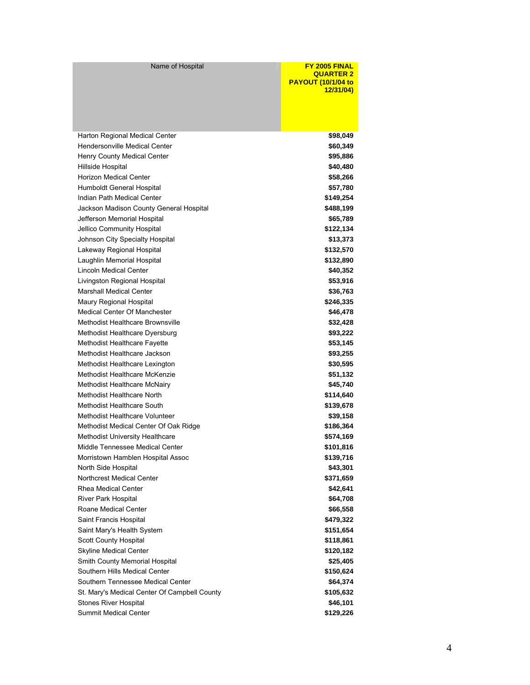Name of Hospital **FY 2005 FINAL QUARTER 2 PAYOUT (10/1/04 to 12/31/04)** 

| Harton Regional Medical Center               | \$98,049  |
|----------------------------------------------|-----------|
| Hendersonville Medical Center                | \$60,349  |
| Henry County Medical Center                  | \$95,886  |
| Hillside Hospital                            | \$40,480  |
| <b>Horizon Medical Center</b>                | \$58,266  |
| Humboldt General Hospital                    | \$57,780  |
| Indian Path Medical Center                   | \$149,254 |
| Jackson Madison County General Hospital      | \$488,199 |
| Jefferson Memorial Hospital                  | \$65,789  |
| Jellico Community Hospital                   | \$122,134 |
| Johnson City Specialty Hospital              | \$13,373  |
| Lakeway Regional Hospital                    | \$132,570 |
| Laughlin Memorial Hospital                   | \$132,890 |
| Lincoln Medical Center                       | \$40,352  |
| Livingston Regional Hospital                 | \$53,916  |
| <b>Marshall Medical Center</b>               | \$36,763  |
| Maury Regional Hospital                      | \$246,335 |
| <b>Medical Center Of Manchester</b>          | \$46,478  |
| Methodist Healthcare Brownsville             | \$32,428  |
| Methodist Healthcare Dyersburg               | \$93,222  |
| Methodist Healthcare Fayette                 | \$53,145  |
| Methodist Healthcare Jackson                 | \$93,255  |
| Methodist Healthcare Lexington               | \$30,595  |
| Methodist Healthcare McKenzie                | \$51,132  |
| Methodist Healthcare McNairy                 | \$45,740  |
| Methodist Healthcare North                   | \$114,640 |
| Methodist Healthcare South                   | \$139,678 |
| Methodist Healthcare Volunteer               | \$39,158  |
| Methodist Medical Center Of Oak Ridge        | \$186,364 |
| <b>Methodist University Healthcare</b>       | \$574,169 |
| Middle Tennessee Medical Center              | \$101,816 |
| Morristown Hamblen Hospital Assoc            | \$139,716 |
| North Side Hospital                          | \$43,301  |
| Northcrest Medical Center                    | \$371,659 |
| <b>Rhea Medical Center</b>                   | \$42,641  |
| River Park Hospital                          | \$64,708  |
| Roane Medical Center                         | \$66,558  |
| Saint Francis Hospital                       | \$479,322 |
| Saint Mary's Health System                   | \$151,654 |
| <b>Scott County Hospital</b>                 | \$118,861 |
| Skyline Medical Center                       | \$120,182 |
| Smith County Memorial Hospital               | \$25,405  |
| Southern Hills Medical Center                | \$150,624 |
| Southern Tennessee Medical Center            | \$64,374  |
| St. Mary's Medical Center Of Campbell County | \$105,632 |
| <b>Stones River Hospital</b>                 | \$46,101  |
| Summit Medical Center                        | \$129,226 |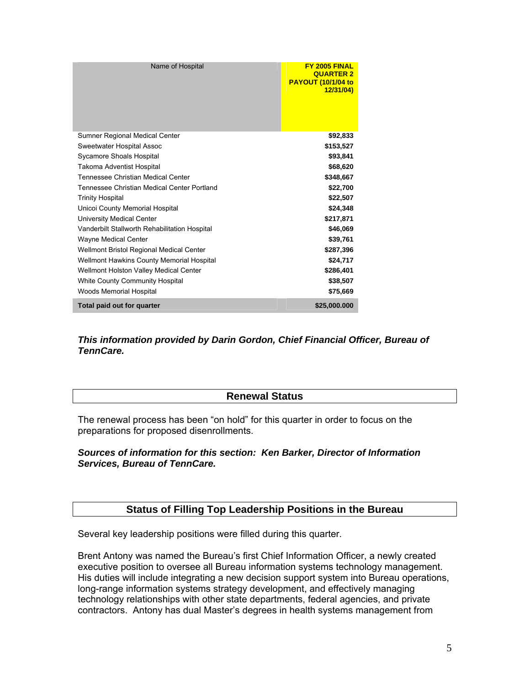| Name of Hospital                              | FY 2005 FINAL<br><b>QUARTER 2</b><br><b>PAYOUT (10/1/04 to</b><br>12/31/04) |
|-----------------------------------------------|-----------------------------------------------------------------------------|
| Sumner Regional Medical Center                | \$92,833                                                                    |
| Sweetwater Hospital Assoc                     | \$153,527                                                                   |
| Sycamore Shoals Hospital                      | \$93,841                                                                    |
| Takoma Adventist Hospital                     | \$68,620                                                                    |
| Tennessee Christian Medical Center            | \$348,667                                                                   |
| Tennessee Christian Medical Center Portland   | \$22,700                                                                    |
| <b>Trinity Hospital</b>                       | \$22,507                                                                    |
| Unicoi County Memorial Hospital               | \$24,348                                                                    |
| University Medical Center                     | \$217,871                                                                   |
| Vanderbilt Stallworth Rehabilitation Hospital | \$46,069                                                                    |
| <b>Wayne Medical Center</b>                   | \$39,761                                                                    |
| Wellmont Bristol Regional Medical Center      | \$287,396                                                                   |
| Wellmont Hawkins County Memorial Hospital     | \$24,717                                                                    |
| Wellmont Holston Valley Medical Center        | \$286,401                                                                   |
| <b>White County Community Hospital</b>        | \$38,507                                                                    |
| <b>Woods Memorial Hospital</b>                | \$75,669                                                                    |
| Total paid out for quarter                    | \$25,000.000                                                                |

#### *This information provided by Darin Gordon, Chief Financial Officer, Bureau of TennCare.*

#### **Renewal Status**

The renewal process has been "on hold" for this quarter in order to focus on the preparations for proposed disenrollments.

#### *Sources of information for this section: Ken Barker, Director of Information Services, Bureau of TennCare.*

#### **Status of Filling Top Leadership Positions in the Bureau**

Several key leadership positions were filled during this quarter.

Brent Antony was named the Bureau's first Chief Information Officer, a newly created executive position to oversee all Bureau information systems technology management. His duties will include integrating a new decision support system into Bureau operations, long-range information systems strategy development, and effectively managing technology relationships with other state departments, federal agencies, and private contractors. Antony has dual Master's degrees in health systems management from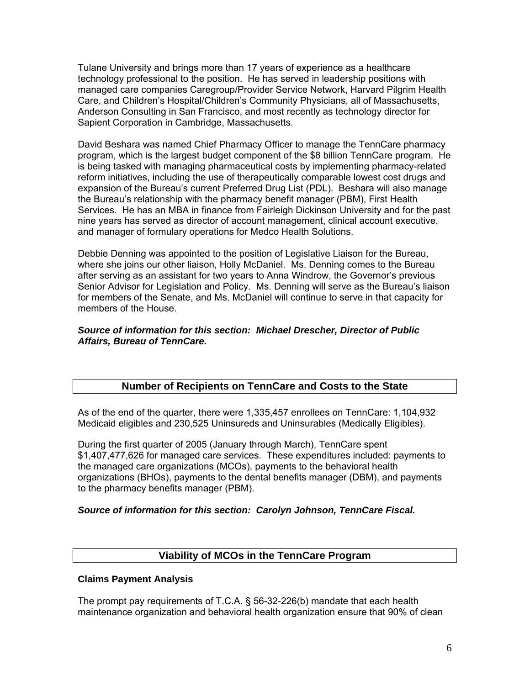Tulane University and brings more than 17 years of experience as a healthcare technology professional to the position. He has served in leadership positions with managed care companies Caregroup/Provider Service Network, Harvard Pilgrim Health Care, and Children's Hospital/Children's Community Physicians, all of Massachusetts, Anderson Consulting in San Francisco, and most recently as technology director for Sapient Corporation in Cambridge, Massachusetts.

David Beshara was named Chief Pharmacy Officer to manage the TennCare pharmacy program, which is the largest budget component of the \$8 billion TennCare program. He is being tasked with managing pharmaceutical costs by implementing pharmacy-related reform initiatives, including the use of therapeutically comparable lowest cost drugs and expansion of the Bureau's current Preferred Drug List (PDL). Beshara will also manage the Bureau's relationship with the pharmacy benefit manager (PBM), First Health Services. He has an MBA in finance from Fairleigh Dickinson University and for the past nine years has served as director of account management, clinical account executive, and manager of formulary operations for Medco Health Solutions.

Debbie Denning was appointed to the position of Legislative Liaison for the Bureau, where she joins our other liaison, Holly McDaniel. Ms. Denning comes to the Bureau after serving as an assistant for two years to Anna Windrow, the Governor's previous Senior Advisor for Legislation and Policy. Ms. Denning will serve as the Bureau's liaison for members of the Senate, and Ms. McDaniel will continue to serve in that capacity for members of the House.

#### *Source of information for this section: Michael Drescher, Director of Public Affairs, Bureau of TennCare.*

#### **Number of Recipients on TennCare and Costs to the State**

As of the end of the quarter, there were 1,335,457 enrollees on TennCare: 1,104,932 Medicaid eligibles and 230,525 Uninsureds and Uninsurables (Medically Eligibles).

During the first quarter of 2005 (January through March), TennCare spent \$1,407,477,626 for managed care services. These expenditures included: payments to the managed care organizations (MCOs), payments to the behavioral health organizations (BHOs), payments to the dental benefits manager (DBM), and payments to the pharmacy benefits manager (PBM).

#### *Source of information for this section: Carolyn Johnson, TennCare Fiscal.*

#### **Viability of MCOs in the TennCare Program**

#### **Claims Payment Analysis**

The prompt pay requirements of T.C.A. § 56-32-226(b) mandate that each health maintenance organization and behavioral health organization ensure that 90% of clean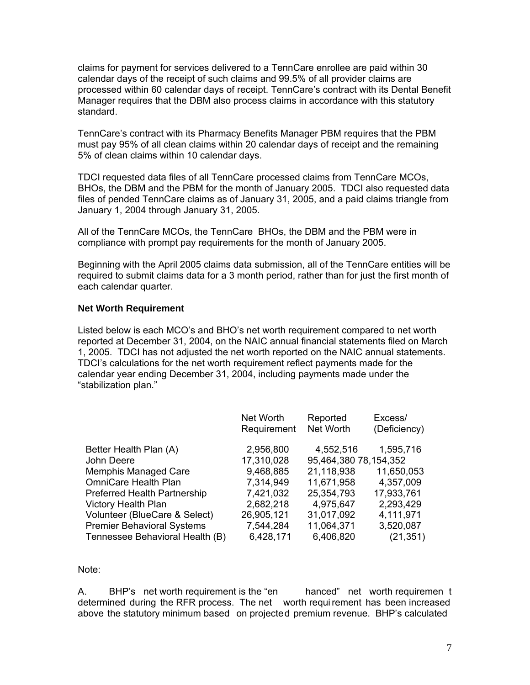claims for payment for services delivered to a TennCare enrollee are paid within 30 calendar days of the receipt of such claims and 99.5% of all provider claims are processed within 60 calendar days of receipt. TennCare's contract with its Dental Benefit Manager requires that the DBM also process claims in accordance with this statutory standard.

TennCare's contract with its Pharmacy Benefits Manager PBM requires that the PBM must pay 95% of all clean claims within 20 calendar days of receipt and the remaining 5% of clean claims within 10 calendar days.

TDCI requested data files of all TennCare processed claims from TennCare MCOs, BHOs, the DBM and the PBM for the month of January 2005. TDCI also requested data files of pended TennCare claims as of January 31, 2005, and a paid claims triangle from January 1, 2004 through January 31, 2005.

All of the TennCare MCOs, the TennCare BHOs, the DBM and the PBM were in compliance with prompt pay requirements for the month of January 2005.

Beginning with the April 2005 claims data submission, all of the TennCare entities will be required to submit claims data for a 3 month period, rather than for just the first month of each calendar quarter.

#### **Net Worth Requirement**

Listed below is each MCO's and BHO's net worth requirement compared to net worth reported at December 31, 2004, on the NAIC annual financial statements filed on March 1, 2005. TDCI has not adjusted the net worth reported on the NAIC annual statements. TDCI's calculations for the net worth requirement reflect payments made for the calendar year ending December 31, 2004, including payments made under the "stabilization plan."

|                                     | Net Worth   | Reported              | Excess/      |
|-------------------------------------|-------------|-----------------------|--------------|
|                                     | Requirement | Net Worth             | (Deficiency) |
|                                     |             |                       |              |
| Better Health Plan (A)              | 2,956,800   | 4,552,516             | 1,595,716    |
| John Deere                          | 17,310,028  | 95,464,380 78,154,352 |              |
| <b>Memphis Managed Care</b>         | 9,468,885   | 21,118,938            | 11,650,053   |
| <b>OmniCare Health Plan</b>         | 7,314,949   | 11,671,958            | 4,357,009    |
| <b>Preferred Health Partnership</b> | 7,421,032   | 25,354,793            | 17,933,761   |
| <b>Victory Health Plan</b>          | 2,682,218   | 4,975,647             | 2,293,429    |
| Volunteer (BlueCare & Select)       | 26,905,121  | 31,017,092            | 4,111,971    |
| <b>Premier Behavioral Systems</b>   | 7,544,284   | 11,064,371            | 3,520,087    |
| Tennessee Behavioral Health (B)     | 6,428,171   | 6,406,820             | (21, 351)    |

Note:

A. BHP's net worth requirement is the "en hanced" net worth requiremen t determined during the RFR process. The net worth requi rement has been increased above the statutory minimum based on projected premium revenue. BHP's calculated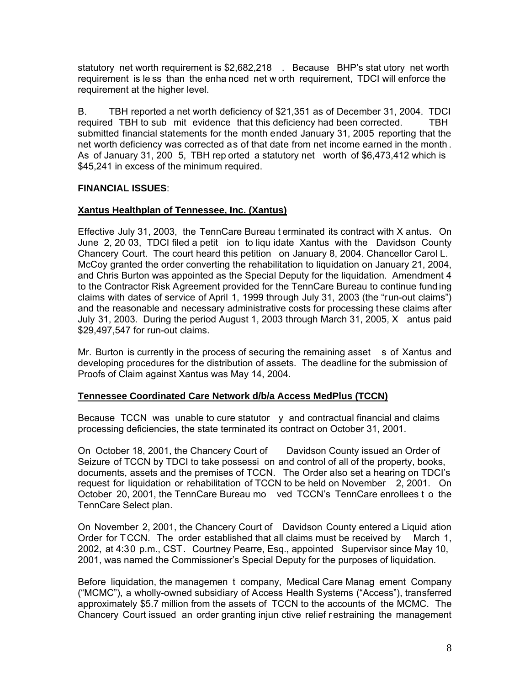statutory net worth requirement is \$2,682,218 . Because BHP's stat utory net worth requirement is le ss than the enha nced net w orth requirement, TDCI will enforce the requirement at the higher level.

B. TBH reported a net worth deficiency of \$21,351 as of December 31, 2004. TDCI required TBH to sub mit evidence that this deficiency had been corrected. TBH submitted financial statements for the month ended January 31, 2005 reporting that the net worth deficiency was corrected as of that date from net income earned in the month . As of January 31, 200 5, TBH rep orted a statutory net worth of \$6,473,412 which is \$45,241 in excess of the minimum required.

#### **FINANCIAL ISSUES**:

#### **Xantus Healthplan of Tennessee, Inc. (Xantus)**

Effective July 31, 2003, the TennCare Bureau t erminated its contract with X antus. On June 2, 20 03, TDCI filed a petit ion to liqu idate Xantus with the Davidson County Chancery Court. The court heard this petition on January 8, 2004. Chancellor Carol L. McCoy granted the order converting the rehabilitation to liquidation on January 21, 2004, and Chris Burton was appointed as the Special Deputy for the liquidation. Amendment 4 to the Contractor Risk Agreement provided for the TennCare Bureau to continue fund ing claims with dates of service of April 1, 1999 through July 31, 2003 (the "run-out claims") and the reasonable and necessary administrative costs for processing these claims after July 31, 2003. During the period August 1, 2003 through March 31, 2005, X antus paid \$29,497,547 for run-out claims.

Mr. Burton is currently in the process of securing the remaining asset s of Xantus and developing procedures for the distribution of assets. The deadline for the submission of Proofs of Claim against Xantus was May 14, 2004.

#### **Tennessee Coordinated Care Network d/b/a Access MedPlus (TCCN)**

Because  $TCCN$  was unable to cure statutor  $\vee$  and contractual financial and claims processing deficiencies, the state terminated its contract on October 31, 2001.

On October 18, 2001, the Chancery Court of Davidson County issued an Order of Seizure of TCCN by TDCI to take possessi on and control of all of the property, books, documents, assets and the premises of TCCN. The Order also set a hearing on TDCI's request for liquidation or rehabilitation of TCCN to be held on November 2, 2001. On October 20, 2001, the TennCare Bureau mo ved TCCN's TennCare enrollees t o the TennCare Select plan.

On November 2, 2001, the Chancery Court of Davidson County entered a Liquid ation Order for TCCN. The order established that all claims must be received by March 1, 2002, at 4:30 p.m., CST. Courtney Pearre, Esq., appointed Supervisor since May 10, 2001, was named the Commissioner's Special Deputy for the purposes of liquidation.

Before liquidation, the managemen t company, Medical Care Manag ement Company ("MCMC"), a wholly-owned subsidiary of Access Health Systems ("Access"), transferred approximately \$5.7 million from the assets of TCCN to the accounts of the MCMC. The Chancery Court issued an order granting injun ctive relief r estraining the management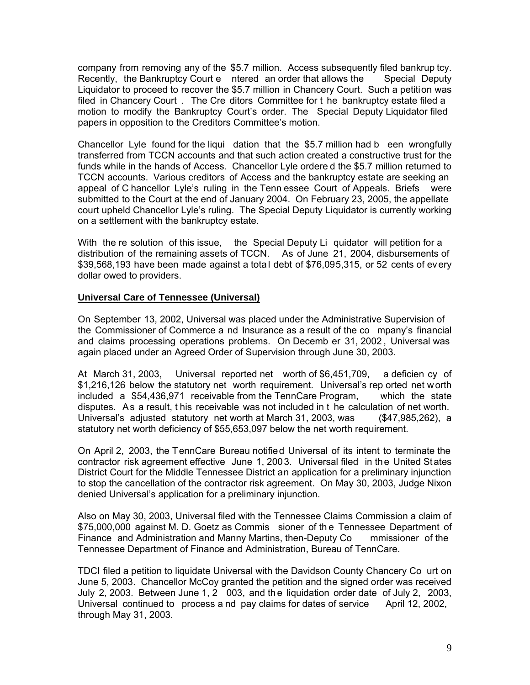company from removing any of the \$5.7 million. Access subsequently filed bankrup tcy. Recently, the Bankruptcy Court e ntered an order that allows the Special Deputy Liquidator to proceed to recover the \$5.7 million in Chancery Court. Such a petition was filed in Chancery Court . The Cre ditors Committee for t he bankruptcy estate filed a motion to modify the Bankruptcy Court's order. The Special Deputy Liquidator filed papers in opposition to the Creditors Committee's motion.

Chancellor Lyle found for the liqui dation that the \$5.7 million had b een wrongfully transferred from TCCN accounts and that such action created a constructive trust for the funds while in the hands of Access. Chancellor Lyle ordere d the \$5.7 million returned to TCCN accounts. Various creditors of Access and the bankruptcy estate are seeking an appeal of C hancellor Lyle's ruling in the Tenn essee Court of Appeals. Briefs were submitted to the Court at the end of January 2004. On February 23, 2005, the appellate court upheld Chancellor Lyle's ruling. The Special Deputy Liquidator is currently working on a settlement with the bankruptcy estate.

With the re solution of this issue, the Special Deputy Li quidator will petition for a distribution of the remaining assets of TCCN. As of June 21, 2004, disbursements of \$39,568,193 have been made against a total debt of \$76,095,315, or 52 cents of every dollar owed to providers.

#### **Universal Care of Tennessee (Universal)**

On September 13, 2002, Universal was placed under the Administrative Supervision of the Commissioner of Commerce a nd Insurance as a result of the co mpany's financial and claims processing operations problems. On Decemb er 31, 2002 , Universal was again placed under an Agreed Order of Supervision through June 30, 2003.

At March 31, 2003, Universal reported net worth of \$6,451,709, a deficien cy of \$1,216,126 below the statutory net worth requirement. Universal's rep orted net worth included a \$54,436,971 receivable from the TennCare Program, which the state disputes. As a result, t his receivable was not included in t he calculation of net worth. Universal's adjusted statutory net worth at March 31, 2003, was (\$47,985,262), a statutory net worth deficiency of \$55,653,097 below the net worth requirement.

On April 2, 2003, the TennCare Bureau notified Universal of its intent to terminate the contractor risk agreement effective June 1, 2003. Universal filed in the United States District Court for the Middle Tennessee District an application for a preliminary injunction to stop the cancellation of the contractor risk agreement. On May 30, 2003, Judge Nixon denied Universal's application for a preliminary injunction.

Also on May 30, 2003, Universal filed with the Tennessee Claims Commission a claim of \$75,000,000 against M. D. Goetz as Commis sioner of th e Tennessee Department of Finance and Administration and Manny Martins, then-Deputy Co mmissioner of the Tennessee Department of Finance and Administration, Bureau of TennCare.

TDCI filed a petition to liquidate Universal with the Davidson County Chancery Co urt on June 5, 2003. Chancellor McCoy granted the petition and the signed order was received July 2, 2003. Between June 1, 2 003, and th e liquidation order date of July 2, 2003, Universal continued to process a nd pay claims for dates of service April 12, 2002, through May 31, 2003.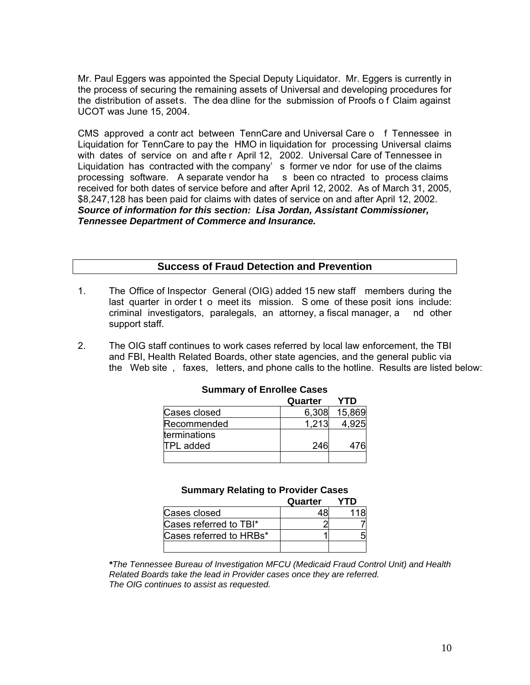Mr. Paul Eggers was appointed the Special Deputy Liquidator. Mr. Eggers is currently in the process of securing the remaining assets of Universal and developing procedures for the distribution of assets. The dea dline for the submission of Proofs o f Claim against UCOT was June 15, 2004.

CMS approved a contr act between TennCare and Universal Care o f Tennessee in Liquidation for TennCare to pay the HMO in liquidation for processing Universal claims with dates of service on and afte r April 12, 2002. Universal Care of Tennessee in Liquidation has contracted with the company' s former ve ndor for use of the claims processing software. A separate vendor ha s been co ntracted to process claims received for both dates of service before and after April 12, 2002. As of March 31, 2005, \$8,247,128 has been paid for claims with dates of service on and after April 12, 2002. *Source of information for this section: Lisa Jordan, Assistant Commissioner, Tennessee Department of Commerce and Insurance.* 

#### **Success of Fraud Detection and Prevention**

- 1. The Office of Inspector General (OIG) added 15 new staff members during the last quarter in order t o meet its mission. S ome of these posit ions include: criminal investigators, paralegals, an attorney, a fiscal manager, a nd other support staff.
- 2. The OIG staff continues to work cases referred by local law enforcement, the TBI and FBI, Health Related Boards, other state agencies, and the general public via the Web site , faxes, letters, and phone calls to the hotline. Results are listed below:

|              | Quarter | YTD    |
|--------------|---------|--------|
| Cases closed | 6,308   | 15,869 |
| Recommended  | 1.213   |        |
| terminations |         |        |
| TPL added    | 246     |        |
|              |         |        |

#### **Summary of Enrollee Cases**

|                         | Quarter | YTD |
|-------------------------|---------|-----|
| Cases closed            |         |     |
| Cases referred to TBI*  |         |     |
| Cases referred to HRBs* |         |     |
|                         |         |     |

*\*The Tennessee Bureau of Investigation MFCU (Medicaid Fraud Control Unit) and Health Related Boards take the lead in Provider cases once they are referred. The OIG continues to assist as requested.*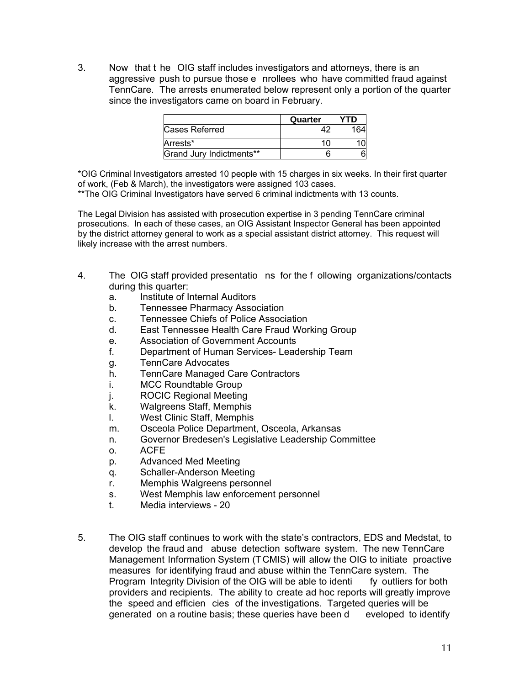3. Now that t he OIG staff includes investigators and attorneys, there is an aggressive push to pursue those e nrollees who have committed fraud against TennCare. The arrests enumerated below represent only a portion of the quarter since the investigators came on board in February.

|                          | Quarter | YTD |
|--------------------------|---------|-----|
| Cases Referred           |         |     |
| Arrests*                 |         |     |
| Grand Jury Indictments** |         |     |

\*OIG Criminal Investigators arrested 10 people with 15 charges in six weeks. In their first quarter of work, (Feb & March), the investigators were assigned 103 cases.

\*\*The OIG Criminal Investigators have served 6 criminal indictments with 13 counts.

The Legal Division has assisted with prosecution expertise in 3 pending TennCare criminal prosecutions. In each of these cases, an OIG Assistant Inspector General has been appointed by the district attorney general to work as a special assistant district attorney. This request will likely increase with the arrest numbers.

- 4. The OIG staff provided presentatio ns for the f ollowing organizations/contacts during this quarter:
	- a. Institute of Internal Auditors
	- b. Tennessee Pharmacy Association
	- c. Tennessee Chiefs of Police Association
	- d. East Tennessee Health Care Fraud Working Group
	- e. Association of Government Accounts
	- f. Department of Human Services- Leadership Team
	- g. TennCare Advocates
	- h. TennCare Managed Care Contractors
	- i. MCC Roundtable Group
	- j. ROCIC Regional Meeting
	- k. Walgreens Staff, Memphis
	- l. West Clinic Staff, Memphis
	- m. Osceola Police Department, Osceola, Arkansas
	- n. Governor Bredesen's Legislative Leadership Committee
	- o. ACFE
	- p. Advanced Med Meeting
	- q. Schaller-Anderson Meeting
	- r. Memphis Walgreens personnel
	- s. West Memphis law enforcement personnel
	- t. Media interviews 20
- 5. The OIG staff continues to work with the state's contractors, EDS and Medstat, to develop the fraud and abuse detection software system. The new TennCare Management Information System (TCMIS) will allow the OIG to initiate proactive measures for identifying fraud and abuse within the TennCare system. The Program Integrity Division of the OIG will be able to identi fy outliers for both providers and recipients. The ability to create ad hoc reports will greatly improve the speed and efficien cies of the investigations. Targeted queries will be generated on a routine basis; these queries have been d eveloped to identify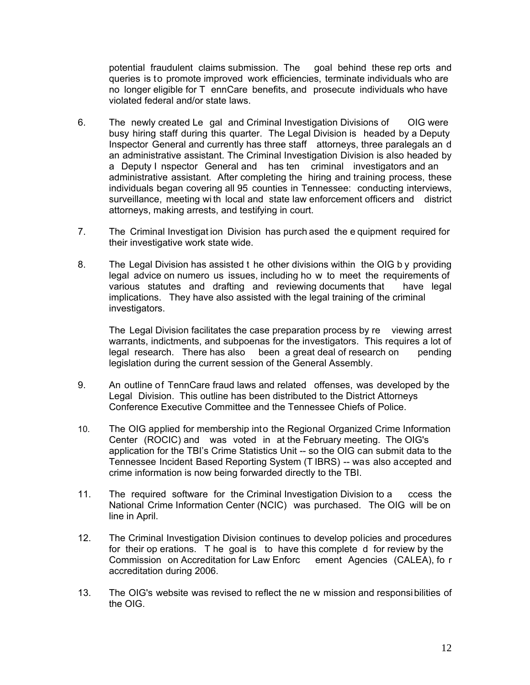potential fraudulent claims submission. The goal behind these rep orts and queries is to promote improved work efficiencies, terminate individuals who are no longer eligible for T ennCare benefits, and prosecute individuals who have violated federal and/or state laws.

- 6. The newly created Le gal and Criminal Investigation Divisions of OIG were busy hiring staff during this quarter. The Legal Division is headed by a Deputy Inspector General and currently has three staff attorneys, three paralegals an d an administrative assistant. The Criminal Investigation Division is also headed by a Deputy I nspector General and has ten criminal investigators and an administrative assistant. After completing the hiring and training process, these individuals began covering all 95 counties in Tennessee: conducting interviews, surveillance, meeting wi th local and state law enforcement officers and district attorneys, making arrests, and testifying in court.
- 7. The Criminal Investigat ion Division has purch ased the e quipment required for their investigative work state wide.
- 8. The Legal Division has assisted t he other divisions within the OIG b y providing legal advice on numero us issues, including ho w to meet the requirements of various statutes and drafting and reviewing documents that have legal implications. They have also assisted with the legal training of the criminal investigators.

 The Legal Division facilitates the case preparation process by re viewing arrest warrants, indictments, and subpoenas for the investigators. This requires a lot of legal research. There has also been a great deal of research on pending legislation during the current session of the General Assembly.

- 9. An outline of TennCare fraud laws and related offenses, was developed by the Legal Division. This outline has been distributed to the District Attorneys Conference Executive Committee and the Tennessee Chiefs of Police.
- 10. The OIG applied for membership into the Regional Organized Crime Information Center (ROCIC) and was voted in at the February meeting. The OIG's application for the TBI's Crime Statistics Unit -- so the OIG can submit data to the Tennessee Incident Based Reporting System (T IBRS) -- was also accepted and crime information is now being forwarded directly to the TBI.
- 11. The required software for the Criminal Investigation Division to a ccess the National Crime Information Center (NCIC) was purchased. The OIG will be on line in April.
- 12. The Criminal Investigation Division continues to develop policies and procedures for their op erations. T he goal is to have this complete d for review by the Commission on Accreditation for Law Enforc ement Agencies (CALEA), fo r accreditation during 2006.
- 13. The OIG's website was revised to reflect the ne w mission and responsibilities of the OIG.